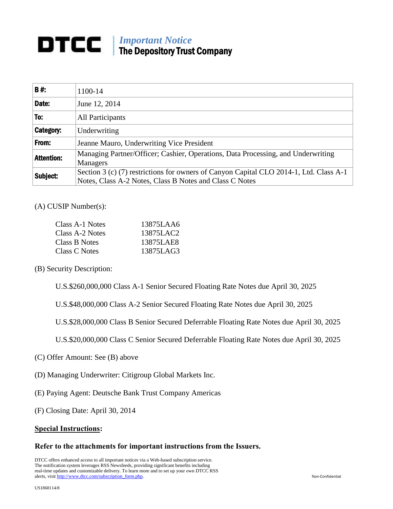# *Important Notice* The Depository Trust Company

| <b>B#:</b>       | 1100-14                                                                                                                                           |
|------------------|---------------------------------------------------------------------------------------------------------------------------------------------------|
| Date:            | June 12, 2014                                                                                                                                     |
| To:              | All Participants                                                                                                                                  |
| <b>Category:</b> | Underwriting                                                                                                                                      |
| From:            | Jeanne Mauro, Underwriting Vice President                                                                                                         |
| Attention:       | Managing Partner/Officer; Cashier, Operations, Data Processing, and Underwriting<br><b>Managers</b>                                               |
| Subject:         | Section 3 (c) (7) restrictions for owners of Canyon Capital CLO 2014-1, Ltd. Class A-1<br>Notes, Class A-2 Notes, Class B Notes and Class C Notes |

(A) CUSIP Number(s):

| Class A-1 Notes | 13875LAA6 |
|-----------------|-----------|
| Class A-2 Notes | 13875LAC2 |
| Class B Notes   | 13875LAE8 |
| Class C Notes   | 13875LAG3 |

(B) Security Description:

U.S.\$260,000,000 Class A-1 Senior Secured Floating Rate Notes due April 30, 2025

U.S.\$48,000,000 Class A-2 Senior Secured Floating Rate Notes due April 30, 2025

U.S.\$28,000,000 Class B Senior Secured Deferrable Floating Rate Notes due April 30, 2025

U.S.\$20,000,000 Class C Senior Secured Deferrable Floating Rate Notes due April 30, 2025

- (C) Offer Amount: See (B) above
- (D) Managing Underwriter: Citigroup Global Markets Inc.
- (E) Paying Agent: Deutsche Bank Trust Company Americas
- (F) Closing Date: April 30, 2014

### **Special Instructions:**

### **Refer to the attachments for important instructions from the Issuers.**

DTCC offers enhanced access to all important notices via a Web-based subscription service. The notification system leverages RSS Newsfeeds, providing significant benefits including real-time updates and customizable delivery. To learn more and to set up your own DTCC RSS alerts, visit [http://www.dtcc.com/subscription\\_form.php.](http://www.dtcc.com/subscription_form.php) Non-Confidential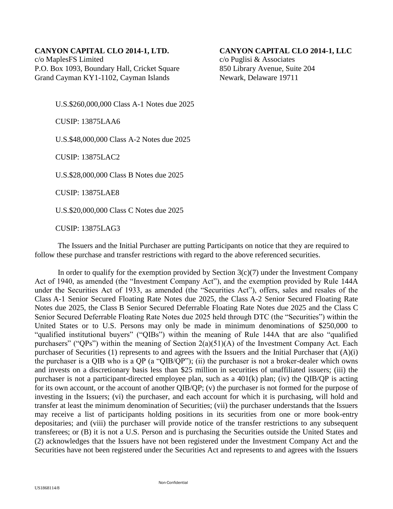## **CANYON CAPITAL CLO 2014-1, LTD. CANYON CAPITAL CLO 2014-1, LLC**

c/o MaplesFS Limited c/o Puglisi & Associates P.O. Box 1093, Boundary Hall, Cricket Square 850 Library Avenue, Suite 204 Grand Cayman KY1-1102, Cayman Islands Newark, Delaware 19711

U.S.\$260,000,000 Class A-1 Notes due 2025

CUSIP: 13875LAA6

U.S.\$48,000,000 Class A-2 Notes due 2025

CUSIP: 13875LAC2

U.S.\$28,000,000 Class B Notes due 2025

CUSIP: 13875LAE8

U.S.\$20,000,000 Class C Notes due 2025

CUSIP: 13875LAG3

The Issuers and the Initial Purchaser are putting Participants on notice that they are required to follow these purchase and transfer restrictions with regard to the above referenced securities.

In order to qualify for the exemption provided by Section  $3(c)(7)$  under the Investment Company Act of 1940, as amended (the "Investment Company Act"), and the exemption provided by Rule 144A under the Securities Act of 1933, as amended (the "Securities Act"), offers, sales and resales of the Class A-1 Senior Secured Floating Rate Notes due 2025, the Class A-2 Senior Secured Floating Rate Notes due 2025, the Class B Senior Secured Deferrable Floating Rate Notes due 2025 and the Class C Senior Secured Deferrable Floating Rate Notes due 2025 held through DTC (the "Securities") within the United States or to U.S. Persons may only be made in minimum denominations of \$250,000 to "qualified institutional buyers" ("QIBs") within the meaning of Rule 144A that are also "qualified purchasers" ("QPs") within the meaning of Section 2(a)(51)(A) of the Investment Company Act. Each purchaser of Securities (1) represents to and agrees with the Issuers and the Initial Purchaser that (A)(i) the purchaser is a QIB who is a QP (a "QIB/QP"); (ii) the purchaser is not a broker-dealer which owns and invests on a discretionary basis less than \$25 million in securities of unaffiliated issuers; (iii) the purchaser is not a participant-directed employee plan, such as a 401(k) plan; (iv) the QIB/QP is acting for its own account, or the account of another QIB/QP; (v) the purchaser is not formed for the purpose of investing in the Issuers; (vi) the purchaser, and each account for which it is purchasing, will hold and transfer at least the minimum denomination of Securities; (vii) the purchaser understands that the Issuers may receive a list of participants holding positions in its securities from one or more book-entry depositaries; and (viii) the purchaser will provide notice of the transfer restrictions to any subsequent transferees; or (B) it is not a U.S. Person and is purchasing the Securities outside the United States and (2) acknowledges that the Issuers have not been registered under the Investment Company Act and the Securities have not been registered under the Securities Act and represents to and agrees with the Issuers